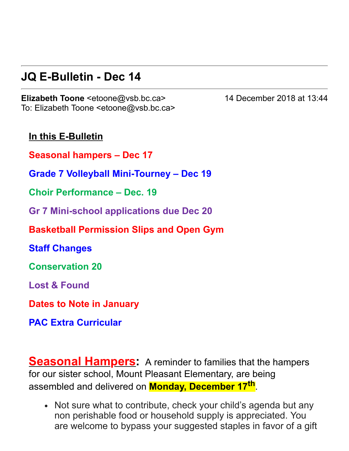# **JQ E-Bulletin - Dec 14**

**Elizabeth Toone** <etoone@vsb.bc.ca> 14 December 2018 at 13:44 To: Elizabeth Toone <etoone@vsb.bc.ca>

**In this E-Bulletin** 

**Seasonal hampers – Dec 17**

**Grade 7 Volleyball MiniTourney – Dec 19**

**Choir Performance – Dec. 19**

**Gr 7 Minischool applications due Dec 20**

**Basketball Permission Slips and Open Gym**

**Staff Changes**

**Conservation 20**

**Lost & Found**

**Dates to Note in January**

**PAC Extra Curricular**

**Seasonal Hampers:** A reminder to families that the hampers for our sister school, Mount Pleasant Elementary, are being assembled and delivered on **Monday, December 17 th** .

• Not sure what to contribute, check your child's agenda but any non perishable food or household supply is appreciated. You are welcome to bypass your suggested staples in favor of a gift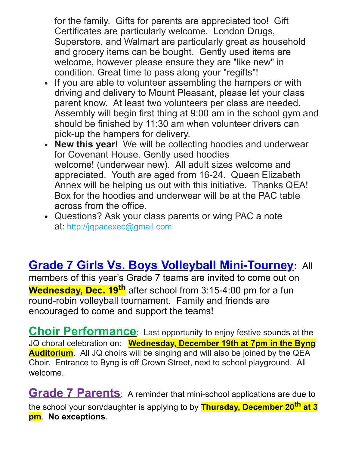for the family. Gifts for parents are appreciated too! Gift Certificates are particularly welcome. London Drugs, Superstore, and Walmart are particularly great as household and grocery items can be bought. Gently used items are welcome, however please ensure they are "like new" in condition. Great time to pass along your "regifts"!

- If you are able to volunteer assembling the hampers or with driving and delivery to Mount Pleasant, please let your class parent know. At least two volunteers per class are needed. Assembly will begin first thing at 9:00 am in the school gym and should be finished by 11:30 am when volunteer drivers can pick-up the hampers for delivery.
- **New this year**! We will be collecting hoodies and underwear for Covenant House. Gently used hoodies welcome! (underwear new). All adult sizes welcome and appreciated. Youth are aged from 1624. Queen Elizabeth Annex will be helping us out with this initiative. Thanks QEA! Box for the hoodies and underwear will be at the PAC table across from the office.
- Questions? Ask your class parents or wing PAC a note at: [http://jqpacexec@gmail.com](https://julesquesnelpac.us3.list-manage.com/track/click?u=a8e7c9494cc165c2c2cca7d75&id=ff0e575dc3&e=afa53965a6)

# **Grade 7 Girls Vs. Boys Volleyball Mini-Tourney: All**

members of this year's Grade 7 teams are invited to come out on **Wednesday, Dec. 19<sup>th</sup> after school from 3:15-4:00 pm for a fun** round-robin volleyball tournament. Family and friends are encouraged to come and support the teams!

**Choir Performance**: Last opportunity to enjoy festive sounds at the JQ choral celebration on: **Wednesday, December 19th at 7pm in the Byng Auditorium**. All JQ choirs will be singing and will also be joined by the QEA Choir. Entrance to Byng is off Crown Street, next to school playground. All welcome.

**Grade 7 Parents** A reminder that mini-school applications are due to the school your son/daughter is applying to by **Thursday, December 20th at 3 pm**. **No exceptions**.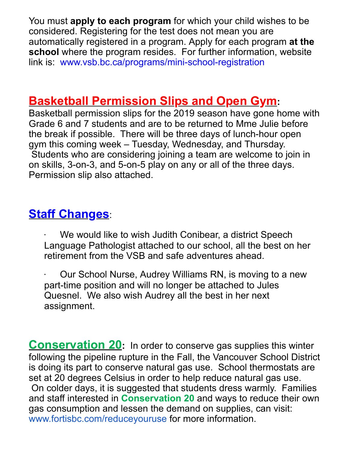You must **apply to each program** for which your child wishes to be considered. Registering for the test does not mean you are automatically registered in a program. Apply for each program **at the school** where the program resides. For further information, website link is: www.vsb.bc.ca/programs/mini-school-registration

#### **Basketball Permission Slips and Open Gym:**

Basketball permission slips for the 2019 season have gone home with Grade 6 and 7 students and are to be returned to Mme Julie before the break if possible. There will be three days of lunch-hour open gym this coming week – Tuesday, Wednesday, and Thursday. Students who are considering joining a team are welcome to join in on skills, 3-on-3, and 5-on-5 play on any or all of the three days. Permission slip also attached.

## **Staff Changes**:

- We would like to wish Judith Conibear, a district Speech Language Pathologist attached to our school, all the best on her retirement from the VSB and safe adventures ahead.
- · Our School Nurse, Audrey Williams RN, is moving to a new part-time position and will no longer be attached to Jules Quesnel. We also wish Audrey all the best in her next assignment.

**Conservation 20:** In order to conserve gas supplies this winter following the pipeline rupture in the Fall, the Vancouver School District is doing its part to conserve natural gas use. School thermostats are set at 20 degrees Celsius in order to help reduce natural gas use. On colder days, it is suggested that students dress warmly. Families and staff interested in **Conservation 20** and ways to reduce their own gas consumption and lessen the demand on supplies, can visit: [www.fortisbc.com/reduceyouruse](http://www.fortisbc.com/reduceyouruse) for more information.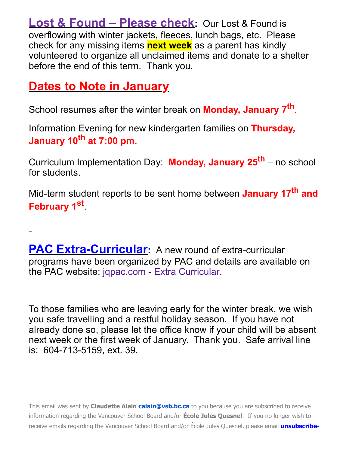**Lost & Found – Please check:** Our Lost & Found is overflowing with winter jackets, fleeces, lunch bags, etc. Please check for any missing items **next week** as a parent has kindly volunteered to organize all unclaimed items and donate to a shelter before the end of this term. Thank you.

# **Dates to Note in January**

School resumes after the winter break on **Monday, January 7 th** .

Information Evening for new kindergarten families on **Thursday, January 10 th at 7:00 pm.**

Curriculum Implementation Day: **Monday, January 25 th** – no school for students.

Mid-term student reports to be sent home between **January 17<sup>th</sup> and February 1 st** .

**PAC Extra-Curricular:** A new round of extra-curricular programs have been organized by PAC and details are available on the PAC website: [jqpac.com](http://jqpac.com/) - Extra [Curricular](https://jqpac.com/programs/extra-curricular/).

To those families who are leaving early for the winter break, we wish you safe travelling and a restful holiday season. If you have not already done so, please let the office know if your child will be absent next week or the first week of January. Thank you. Safe arrival line is: 604-713-5159, ext. 39.

This email was sent by **Claudette Alain [calain@vsb.bc.ca](mailto:calain@vsb.bc.ca)** to you because you are subscribed to receive information regarding the Vancouver School Board and/or **École Jules Quesnel**. If you no longer wish to receive emails regarding the Vancouver School Board and/or École Jules Quesnel, please email **[unsubscribe](mailto:unsubscribe-jqu@vsb.bc.ca)**